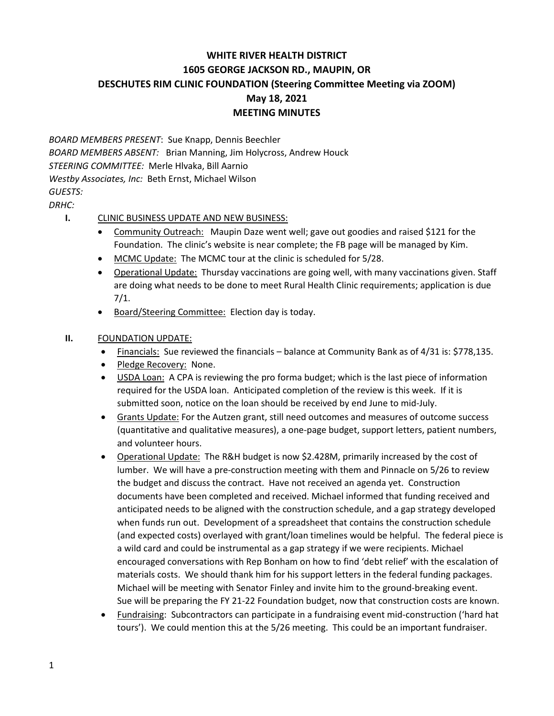## **WHITE RIVER HEALTH DISTRICT 1605 GEORGE JACKSON RD., MAUPIN, OR DESCHUTES RIM CLINIC FOUNDATION (Steering Committee Meeting via ZOOM) May 18, 2021 MEETING MINUTES**

*BOARD MEMBERS PRESENT*: Sue Knapp, Dennis Beechler *BOARD MEMBERS ABSENT:* Brian Manning, Jim Holycross, Andrew Houck *STEERING COMMITTEE:* Merle Hlvaka, Bill Aarnio *Westby Associates, Inc:* Beth Ernst, Michael Wilson *GUESTS: DRHC:*

## **I.** CLINIC BUSINESS UPDATE AND NEW BUSINESS:

- Community Outreach: Maupin Daze went well; gave out goodies and raised \$121 for the Foundation. The clinic's website is near complete; the FB page will be managed by Kim.
- MCMC Update: The MCMC tour at the clinic is scheduled for 5/28.
- Operational Update: Thursday vaccinations are going well, with many vaccinations given. Staff are doing what needs to be done to meet Rural Health Clinic requirements; application is due 7/1.
- Board/Steering Committee: Election day is today.

## **II.** FOUNDATION UPDATE:

- Financials: Sue reviewed the financials balance at Community Bank as of 4/31 is: \$778,135.
- Pledge Recovery: None.
- USDA Loan: A CPA is reviewing the pro forma budget; which is the last piece of information required for the USDA loan. Anticipated completion of the review is this week. If it is submitted soon, notice on the loan should be received by end June to mid-July.
- Grants Update: For the Autzen grant, still need outcomes and measures of outcome success (quantitative and qualitative measures), a one-page budget, support letters, patient numbers, and volunteer hours.
- Operational Update: The R&H budget is now \$2.428M, primarily increased by the cost of lumber. We will have a pre-construction meeting with them and Pinnacle on 5/26 to review the budget and discuss the contract. Have not received an agenda yet. Construction documents have been completed and received. Michael informed that funding received and anticipated needs to be aligned with the construction schedule, and a gap strategy developed when funds run out. Development of a spreadsheet that contains the construction schedule (and expected costs) overlayed with grant/loan timelines would be helpful. The federal piece is a wild card and could be instrumental as a gap strategy if we were recipients. Michael encouraged conversations with Rep Bonham on how to find 'debt relief' with the escalation of materials costs. We should thank him for his support letters in the federal funding packages. Michael will be meeting with Senator Finley and invite him to the ground-breaking event. Sue will be preparing the FY 21-22 Foundation budget, now that construction costs are known.
- Fundraising: Subcontractors can participate in a fundraising event mid-construction ('hard hat tours'). We could mention this at the 5/26 meeting. This could be an important fundraiser.